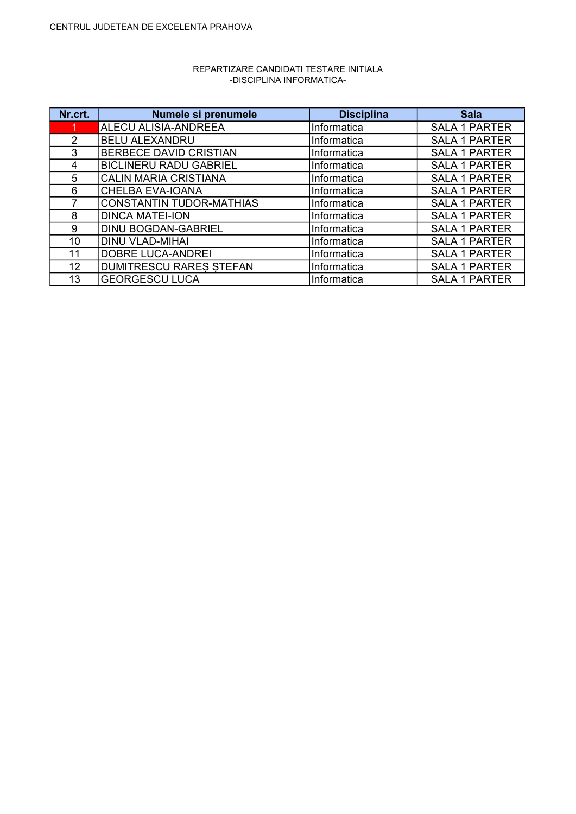| Nr.crt. | Numele si prenumele             | <b>Disciplina</b> | <b>Sala</b>          |
|---------|---------------------------------|-------------------|----------------------|
|         | ALECU ALISIA-ANDREEA            | Informatica       | <b>SALA 1 PARTER</b> |
| 2       | <b>BELU ALEXANDRU</b>           | Informatica       | <b>SALA 1 PARTER</b> |
| 3       | <b>BERBECE DAVID CRISTIAN</b>   | Informatica       | <b>SALA 1 PARTER</b> |
| 4       | <b>BICLINERU RADU GABRIEL</b>   | Informatica       | <b>SALA 1 PARTER</b> |
| 5       | <b>CALIN MARIA CRISTIANA</b>    | Informatica       | <b>SALA 1 PARTER</b> |
| 6       | <b>CHELBA EVA-IOANA</b>         | Informatica       | <b>SALA 1 PARTER</b> |
|         | <b>CONSTANTIN TUDOR-MATHIAS</b> | Informatica       | <b>SALA 1 PARTER</b> |
| 8       | <b>DINCA MATEI-ION</b>          | Informatica       | <b>SALA 1 PARTER</b> |
| 9       | <b>DINU BOGDAN-GABRIEL</b>      | Informatica       | <b>SALA 1 PARTER</b> |
| 10      | <b>DINU VLAD-MIHAI</b>          | Informatica       | <b>SALA 1 PARTER</b> |
| 11      | <b>DOBRE LUCA-ANDREI</b>        | Informatica       | <b>SALA 1 PARTER</b> |
| 12      | <b>DUMITRESCU RARES STEFAN</b>  | Informatica       | <b>SALA 1 PARTER</b> |
| 13      | <b>GEORGESCU LUCA</b>           | Informatica       | <b>SALA 1 PARTER</b> |

## REPARTIZARE CANDIDATI TESTARE INITIALA -DISCIPLINA INFORMATICA-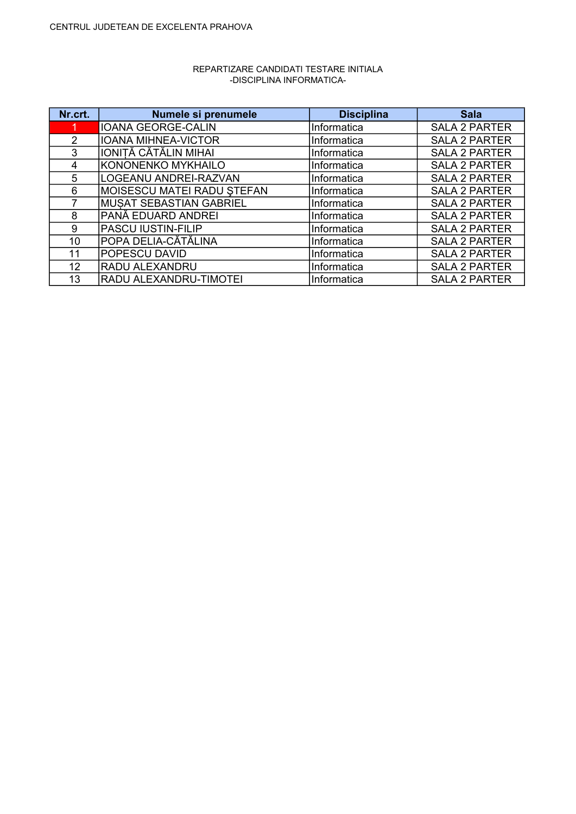| Nr.crt.       | Numele si prenumele           | <b>Disciplina</b> | <b>Sala</b>          |
|---------------|-------------------------------|-------------------|----------------------|
|               | <b>IOANA GEORGE-CALIN</b>     | Informatica       | <b>SALA 2 PARTER</b> |
| $\mathcal{P}$ | <b>IOANA MIHNEA-VICTOR</b>    | Informatica       | <b>SALA 2 PARTER</b> |
| 3             | <b>IONITĂ CĂTĂLIN MIHAI</b>   | Informatica       | <b>SALA 2 PARTER</b> |
| 4             | KONONENKO MYKHAILO            | Informatica       | <b>SALA 2 PARTER</b> |
| 5             | LOGEANU ANDREI-RAZVAN         | Informatica       | <b>SALA 2 PARTER</b> |
| 6             | MOISESCU MATEI RADU ȘTEFAN    | Informatica       | <b>SALA 2 PARTER</b> |
|               | MUSAT SEBASTIAN GABRIEL       | Informatica       | <b>SALA 2 PARTER</b> |
| 8             | PANĂ EDUARD ANDREI            | Informatica       | <b>SALA 2 PARTER</b> |
| 9             | <b>PASCU IUSTIN-FILIP</b>     | Informatica       | <b>SALA 2 PARTER</b> |
| 10            | POPA DELIA-CĂTĂLINA           | Informatica       | <b>SALA 2 PARTER</b> |
| 11            | <b>POPESCU DAVID</b>          | Informatica       | <b>SALA 2 PARTER</b> |
| 12            | <b>RADU ALEXANDRU</b>         | Informatica       | <b>SALA 2 PARTER</b> |
| 13            | <b>RADU ALEXANDRU-TIMOTEI</b> | Informatica       | <b>SALA 2 PARTER</b> |

## REPARTIZARE CANDIDATI TESTARE INITIALA -DISCIPLINA INFORMATICA-